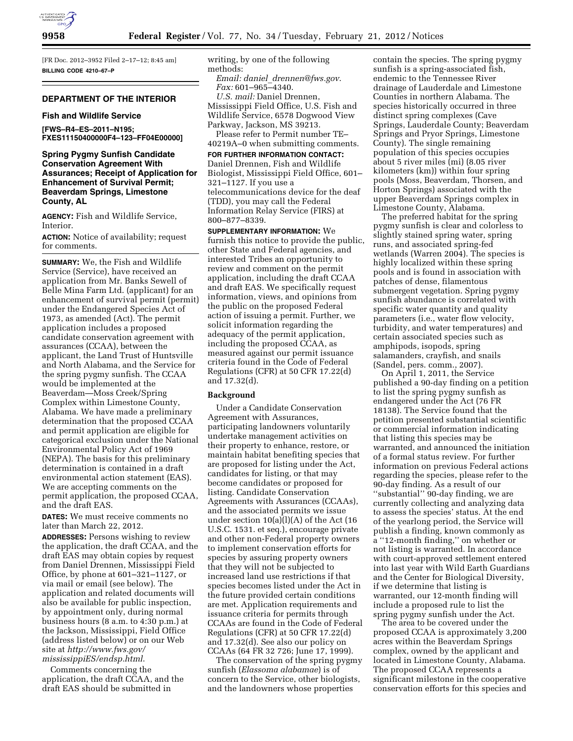

[FR Doc. 2012–3952 Filed 2–17–12; 8:45 am] **BILLING CODE 4210–67–P** 

# **DEPARTMENT OF THE INTERIOR**

#### **Fish and Wildlife Service**

**[FWS–R4–ES–2011–N195; FXES11150400000F4–123–FF04E00000]** 

# **Spring Pygmy Sunfish Candidate Conservation Agreement With Assurances; Receipt of Application for Enhancement of Survival Permit; Beaverdam Springs, Limestone County, AL**

**AGENCY:** Fish and Wildlife Service, Interior.

**ACTION:** Notice of availability; request for comments.

**SUMMARY:** We, the Fish and Wildlife Service (Service), have received an application from Mr. Banks Sewell of Belle Mina Farm Ltd. (applicant) for an enhancement of survival permit (permit) under the Endangered Species Act of 1973, as amended (Act). The permit application includes a proposed candidate conservation agreement with assurances (CCAA), between the applicant, the Land Trust of Huntsville and North Alabama, and the Service for the spring pygmy sunfish. The CCAA would be implemented at the Beaverdam—Moss Creek/Spring Complex within Limestone County, Alabama. We have made a preliminary determination that the proposed CCAA and permit application are eligible for categorical exclusion under the National Environmental Policy Act of 1969 (NEPA). The basis for this preliminary determination is contained in a draft environmental action statement (EAS). We are accepting comments on the permit application, the proposed CCAA, and the draft EAS.

**DATES:** We must receive comments no later than March 22, 2012.

**ADDRESSES:** Persons wishing to review the application, the draft CCAA, and the draft EAS may obtain copies by request from Daniel Drennen, Mississippi Field Office, by phone at 601–321–1127, or via mail or email (see below). The application and related documents will also be available for public inspection, by appointment only, during normal business hours (8 a.m. to 4:30 p.m.) at the Jackson, Mississippi, Field Office (address listed below) or on our Web site at *[http://www.fws.gov/](http://www.fws.gov/mississippiES/endsp.html) [mississippiES/endsp.html](http://www.fws.gov/mississippiES/endsp.html)*.

Comments concerning the application, the draft CCAA, and the draft EAS should be submitted in

writing, by one of the following methods:

*Email: daniel*\_*[drennen@fws.gov](mailto:daniel_drennen@fws.gov)*. *Fax:* 601–965–4340.

*U.S. mail:* Daniel Drennen, Mississippi Field Office, U.S. Fish and Wildlife Service, 6578 Dogwood View Parkway, Jackson, MS 39213.

Please refer to Permit number TE– 40219A–0 when submitting comments.

**FOR FURTHER INFORMATION CONTACT:**  Daniel Drennen, Fish and Wildlife Biologist, Mississippi Field Office, 601– 321–1127. If you use a telecommunications device for the deaf (TDD), you may call the Federal Information Relay Service (FIRS) at 800–877–8339.

**SUPPLEMENTARY INFORMATION:** We furnish this notice to provide the public, other State and Federal agencies, and interested Tribes an opportunity to review and comment on the permit application, including the draft CCAA and draft EAS. We specifically request information, views, and opinions from the public on the proposed Federal action of issuing a permit. Further, we solicit information regarding the adequacy of the permit application, including the proposed CCAA, as measured against our permit issuance criteria found in the Code of Federal Regulations (CFR) at 50 CFR 17.22(d) and 17.32(d).

### **Background**

Under a Candidate Conservation Agreement with Assurances, participating landowners voluntarily undertake management activities on their property to enhance, restore, or maintain habitat benefiting species that are proposed for listing under the Act, candidates for listing, or that may become candidates or proposed for listing. Candidate Conservation Agreements with Assurances (CCAAs), and the associated permits we issue under section 10(a)(l)(A) of the Act (16 U.S.C. 1531. et seq.), encourage private and other non-Federal property owners to implement conservation efforts for species by assuring property owners that they will not be subjected to increased land use restrictions if that species becomes listed under the Act in the future provided certain conditions are met. Application requirements and issuance criteria for permits through CCAAs are found in the Code of Federal Regulations (CFR) at 50 CFR 17.22(d) and 17.32(d). See also our policy on CCAAs (64 FR 32 726; June 17, 1999).

The conservation of the spring pygmy sunfish (*Elassoma alabamae*) is of concern to the Service, other biologists, and the landowners whose properties

contain the species. The spring pygmy sunfish is a spring-associated fish, endemic to the Tennessee River drainage of Lauderdale and Limestone Counties in northern Alabama. The species historically occurred in three distinct spring complexes (Cave Springs, Lauderdale County; Beaverdam Springs and Pryor Springs, Limestone County). The single remaining population of this species occupies about 5 river miles (mi) (8.05 river kilometers (km)) within four spring pools (Moss, Beaverdam, Thorsen, and Horton Springs) associated with the upper Beaverdam Springs complex in Limestone County, Alabama.

The preferred habitat for the spring pygmy sunfish is clear and colorless to slightly stained spring water, spring runs, and associated spring-fed wetlands (Warren 2004). The species is highly localized within these spring pools and is found in association with patches of dense, filamentous submergent vegetation. Spring pygmy sunfish abundance is correlated with specific water quantity and quality parameters (i.e., water flow velocity, turbidity, and water temperatures) and certain associated species such as amphipods, isopods, spring salamanders, crayfish, and snails (Sandel, pers. comm., 2007).

On April 1, 2011, the Service published a 90-day finding on a petition to list the spring pygmy sunfish as endangered under the Act (76 FR 18138). The Service found that the petition presented substantial scientific or commercial information indicating that listing this species may be warranted, and announced the initiation of a formal status review. For further information on previous Federal actions regarding the species, please refer to the 90-day finding. As a result of our ''substantial'' 90-day finding, we are currently collecting and analyzing data to assess the species' status. At the end of the yearlong period, the Service will publish a finding, known commonly as a ''12-month finding,'' on whether or not listing is warranted. In accordance with court-approved settlement entered into last year with Wild Earth Guardians and the Center for Biological Diversity, if we determine that listing is warranted, our 12-month finding will include a proposed rule to list the spring pygmy sunfish under the Act.

The area to be covered under the proposed CCAA is approximately 3,200 acres within the Beaverdam Springs complex, owned by the applicant and located in Limestone County, Alabama. The proposed CCAA represents a significant milestone in the cooperative conservation efforts for this species and